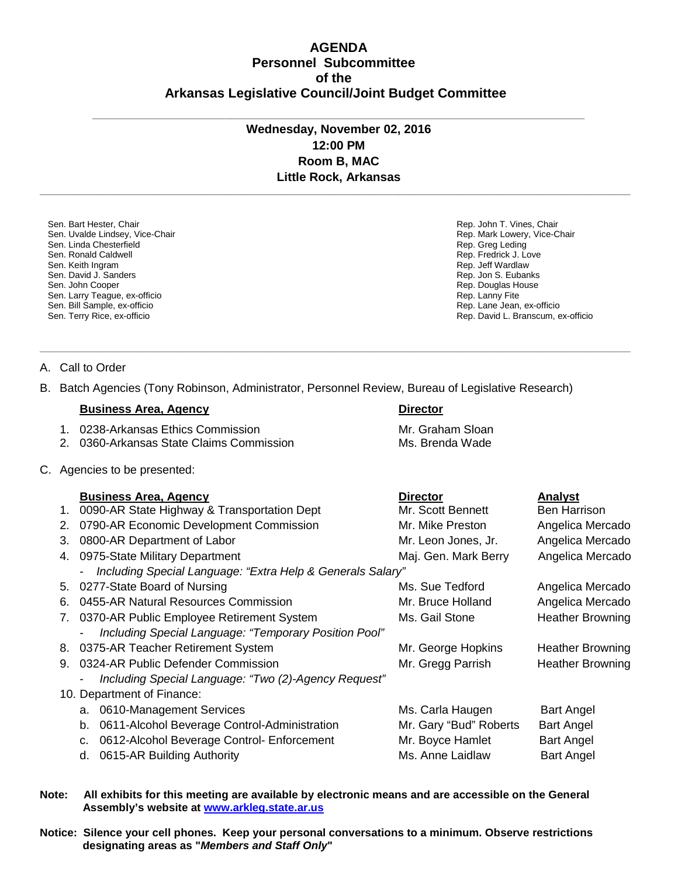## **AGENDA Personnel Subcommittee of the Arkansas Legislative Council/Joint Budget Committee**

## **Wednesday, November 02, 2016 12:00 PM Room B, MAC Little Rock, Arkansas**

**\_\_\_\_\_\_\_\_\_\_\_\_\_\_\_\_\_\_\_\_\_\_\_\_\_\_\_\_\_\_\_\_\_\_\_\_\_\_\_\_\_\_\_\_\_\_\_\_\_\_\_\_\_\_\_\_\_\_\_\_\_\_\_\_\_\_\_\_\_\_\_\_\_\_\_\_\_\_\_\_\_\_\_\_\_\_\_\_\_\_\_\_\_\_\_\_\_\_\_\_\_\_\_\_\_\_\_\_\_\_\_\_\_\_\_\_\_\_\_\_**

**\_\_\_\_\_\_\_\_\_\_\_\_\_\_\_\_\_\_\_\_\_\_\_\_\_\_\_\_\_\_\_\_\_\_\_\_\_\_\_\_\_\_\_\_\_\_\_\_\_\_\_\_\_\_\_\_\_\_\_\_\_\_\_\_\_\_\_\_\_\_\_\_\_\_\_\_\_\_\_\_\_\_\_\_\_\_\_\_\_\_\_\_\_\_\_\_\_\_\_\_\_\_\_\_\_\_\_\_\_\_\_\_\_\_\_\_\_\_\_\_**

**\_\_\_\_\_\_\_\_\_\_\_\_\_\_\_\_\_\_\_\_\_\_\_\_\_\_\_\_\_\_\_\_\_\_\_\_\_\_\_\_\_\_\_\_\_\_\_\_\_\_\_\_\_\_\_\_\_\_\_\_\_\_\_\_\_\_\_\_\_\_\_\_\_\_\_\_\_\_\_\_\_\_\_\_\_\_\_\_\_\_\_\_\_\_\_\_\_\_\_\_**

Sen. Bart Hester, Chair Sen. Uvalde Lindsey, Vice-Chair Sen. Linda Chesterfield Sen. Ronald Caldwell Sen. Keith Ingram Sen. David J. Sanders Sen. John Cooper Sen. Larry Teague, ex-officio Sen. Bill Sample, ex-officio Sen. Terry Rice, ex-officio

Rep. John T. Vines, Chair Rep. Mark Lowery, Vice-Chair Rep. Greg Leding Rep. Fredrick J. Love Rep. Jeff Wardlaw Rep. Jon S. Eubanks Rep. Douglas House Rep. Lanny Fite Rep. Lane Jean, ex-officio Rep. David L. Branscum, ex-officio

A. Call to Order

B. Batch Agencies (Tony Robinson, Administrator, Personnel Review, Bureau of Legislative Research)

## **Business Area, Agency <b>Director Director**

1. 0238-Arkansas Ethics Commission Mr. Graham Sloan

- 2. 0360-Arkansas State Claims Commission Ms. Brenda Wade
- C. Agencies to be presented:

|  |    | <b>Business Area, Agency</b>                               | <b>Director</b>        | <b>Analyst</b>          |
|--|----|------------------------------------------------------------|------------------------|-------------------------|
|  | 1. | 0090-AR State Highway & Transportation Dept                | Mr. Scott Bennett      | Ben Harrison            |
|  | 2. | 0790-AR Economic Development Commission                    | Mr. Mike Preston       | Angelica Mercado        |
|  | 3. | 0800-AR Department of Labor                                | Mr. Leon Jones, Jr.    | Angelica Mercado        |
|  | 4. | 0975-State Military Department                             | Maj. Gen. Mark Berry   | Angelica Mercado        |
|  |    | Including Special Language: "Extra Help & Generals Salary" |                        |                         |
|  |    | 5. 0277-State Board of Nursing                             | Ms. Sue Tedford        | Angelica Mercado        |
|  | 6. | 0455-AR Natural Resources Commission                       | Mr. Bruce Holland      | Angelica Mercado        |
|  | 7. | 0370-AR Public Employee Retirement System                  | Ms. Gail Stone         | <b>Heather Browning</b> |
|  |    | Including Special Language: "Temporary Position Pool"      |                        |                         |
|  |    | 8. 0375-AR Teacher Retirement System                       | Mr. George Hopkins     | <b>Heather Browning</b> |
|  | 9. | 0324-AR Public Defender Commission                         | Mr. Gregg Parrish      | <b>Heather Browning</b> |
|  |    | Including Special Language: "Two (2)-Agency Request"       |                        |                         |
|  |    | 10. Department of Finance:                                 |                        |                         |
|  |    | a. 0610-Management Services                                | Ms. Carla Haugen       | <b>Bart Angel</b>       |
|  |    | 0611-Alcohol Beverage Control-Administration<br>b.         | Mr. Gary "Bud" Roberts | <b>Bart Angel</b>       |
|  |    | 0612-Alcohol Beverage Control- Enforcement<br>c.           | Mr. Boyce Hamlet       | <b>Bart Angel</b>       |
|  |    | 0615-AR Building Authority<br>d.                           | Ms. Anne Laidlaw       | <b>Bart Angel</b>       |
|  |    |                                                            |                        |                         |

- **Note: All exhibits for this meeting are available by electronic means and are accessible on the General Assembly's website at [www.arkleg.state.ar.us](http://www.arkleg.state.ar.us/)**
- **Notice: Silence your cell phones. Keep your personal conversations to a minimum. Observe restrictions designating areas as "***Members and Staff Only***"**